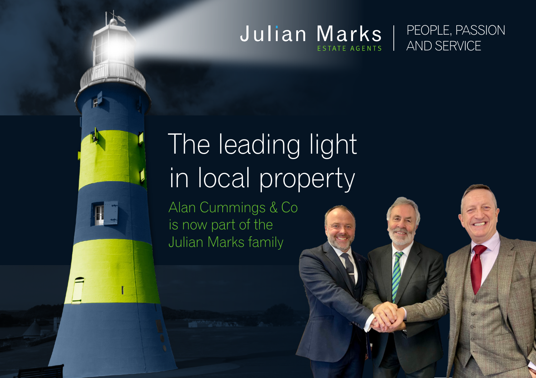#### Julian Marks PEOPLE, PASSION AND SERVICE ESTATE AGENTS



# The leading light in local property

Alan Cummings & Co is now part of the Julian Marks family